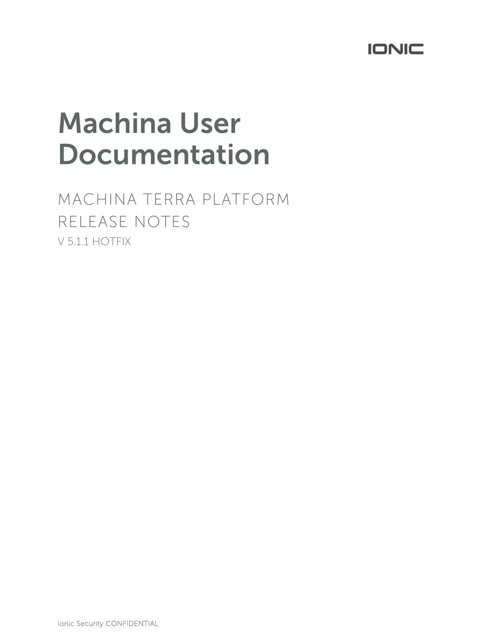

## Machina User Documentation

MACHINA TERRA PLATFORM RELEASE NOTES V 5.1.1 HOTFIX

Ionic Security CONFIDENTIAL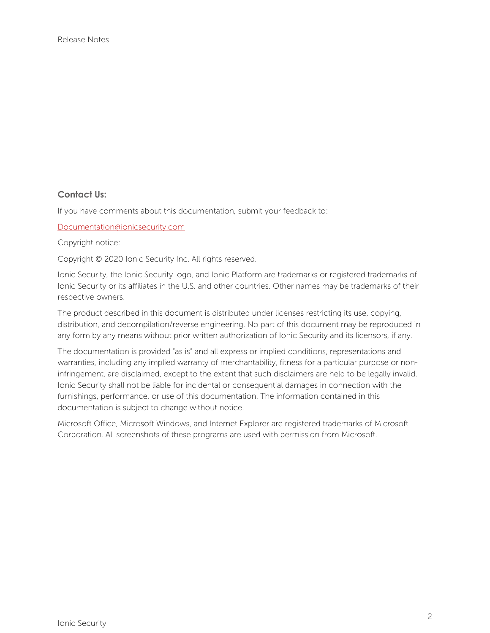## **Contact Us:**

If you have comments about this documentation, submit your feedback to:

Documentation@ionicsecurity.com

Copyright notice:

Copyright © 2020 Ionic Security Inc. All rights reserved.

Ionic Security, the Ionic Security logo, and Ionic Platform are trademarks or registered trademarks of Ionic Security or its affiliates in the U.S. and other countries. Other names may be trademarks of their respective owners.

The product described in this document is distributed under licenses restricting its use, copying, distribution, and decompilation/reverse engineering. No part of this document may be reproduced in any form by any means without prior written authorization of Ionic Security and its licensors, if any.

The documentation is provided "as is" and all express or implied conditions, representations and warranties, including any implied warranty of merchantability, fitness for a particular purpose or noninfringement, are disclaimed, except to the extent that such disclaimers are held to be legally invalid. Ionic Security shall not be liable for incidental or consequential damages in connection with the furnishings, performance, or use of this documentation. The information contained in this documentation is subject to change without notice.

Microsoft Office, Microsoft Windows, and Internet Explorer are registered trademarks of Microsoft Corporation. All screenshots of these programs are used with permission from Microsoft.